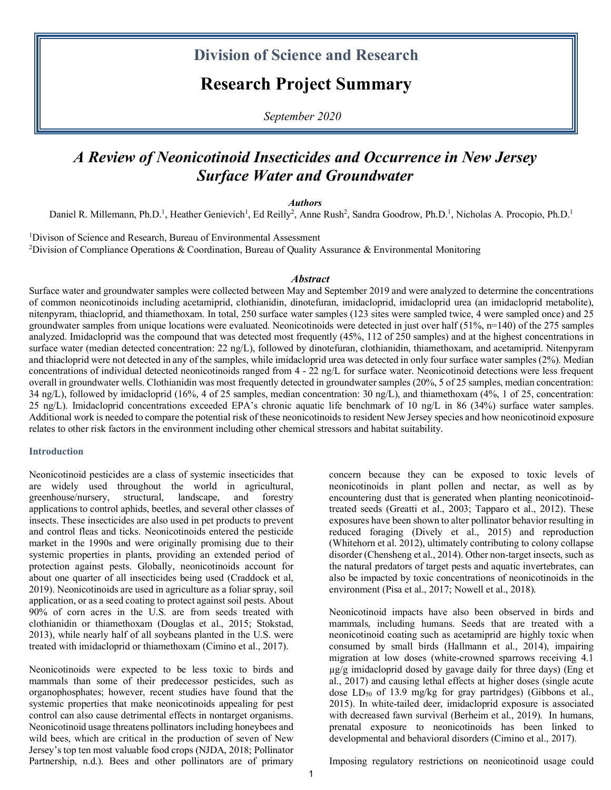## **Division of Science and Research**

# **Research Project Summary**

*September 2020*

# *A Review of Neonicotinoid Insecticides and Occurrence in New Jersey Surface Water and Groundwater*

*Authors*

Daniel R. Millemann, Ph.D.<sup>1</sup>, Heather Genievich<sup>1</sup>, Ed Reilly<sup>2</sup>, Anne Rush<sup>2</sup>, Sandra Goodrow, Ph.D.<sup>1</sup>, Nicholas A. Procopio, Ph.D.<sup>1</sup>

<sup>1</sup>Divison of Science and Research, Bureau of Environmental Assessment <sup>2</sup>Division of Compliance Operations & Coordination, Bureau of Quality Assurance & Environmental Monitoring

#### *Abstract*

Surface water and groundwater samples were collected between May and September 2019 and were analyzed to determine the concentrations of common neonicotinoids including acetamiprid, clothianidin, dinotefuran, imidacloprid, imidacloprid urea (an imidacloprid metabolite), nitenpyram, thiacloprid, and thiamethoxam. In total, 250 surface water samples (123 sites were sampled twice, 4 were sampled once) and 25 groundwater samples from unique locations were evaluated. Neonicotinoids were detected in just over half  $(51\%, n=140)$  of the 275 samples analyzed. Imidacloprid was the compound that was detected most frequently (45%, 112 of 250 samples) and at the highest concentrations in surface water (median detected concentration: 22 ng/L), followed by dinotefuran, clothianidin, thiamethoxam, and acetamiprid. Nitenpyram and thiacloprid were not detected in any of the samples, while imidacloprid urea was detected in only four surface water samples (2%). Median concentrations of individual detected neonicotinoids ranged from 4 - 22 ng/L for surface water. Neonicotinoid detections were less frequent overall in groundwater wells. Clothianidin was most frequently detected in groundwater samples (20%, 5 of 25 samples, median concentration: 34 ng/L), followed by imidacloprid (16%, 4 of 25 samples, median concentration: 30 ng/L), and thiamethoxam (4%, 1 of 25, concentration: 25 ng/L). Imidacloprid concentrations exceeded EPA's chronic aquatic life benchmark of 10 ng/L in 86 (34%) surface water samples. Additional work is needed to compare the potential risk of these neonicotinoids to resident New Jersey species and how neonicotinoid exposure relates to other risk factors in the environment including other chemical stressors and habitat suitability.

#### **Introduction**

Neonicotinoid pesticides are a class of systemic insecticides that are widely used throughout the world in agricultural, greenhouse/nursery, structural, landscape, and forestry applications to control aphids, beetles, and several other classes of insects. These insecticides are also used in pet products to prevent and control fleas and ticks. Neonicotinoids entered the pesticide market in the 1990s and were originally promising due to their systemic properties in plants, providing an extended period of protection against pests. Globally, neonicotinoids account for about one quarter of all insecticides being used (Craddock et al, 2019). Neonicotinoids are used in agriculture as a foliar spray, soil application, or as a seed coating to protect against soil pests. About 90% of corn acres in the U.S. are from seeds treated with clothianidin or thiamethoxam (Douglas et al., 2015; Stokstad, 2013), while nearly half of all soybeans planted in the U.S. were treated with imidacloprid or thiamethoxam (Cimino et al., 2017).

Neonicotinoids were expected to be less toxic to birds and mammals than some of their predecessor pesticides, such as organophosphates; however, recent studies have found that the systemic properties that make neonicotinoids appealing for pest control can also cause detrimental effects in nontarget organisms. Neonicotinoid usage threatens pollinators including honeybees and wild bees, which are critical in the production of seven of New Jersey's top ten most valuable food crops (NJDA, 2018; Pollinator Partnership, n.d.). Bees and other pollinators are of primary

concern because they can be exposed to toxic levels of neonicotinoids in plant pollen and nectar, as well as by encountering dust that is generated when planting neonicotinoidtreated seeds (Greatti et al., 2003; Tapparo et al., 2012). These exposures have been shown to alter pollinator behavior resulting in reduced foraging (Dively et al., 2015) and reproduction (Whitehorn et al. 2012), ultimately contributing to colony collapse disorder (Chensheng et al., 2014). Other non-target insects, such as the natural predators of target pests and aquatic invertebrates, can also be impacted by toxic concentrations of neonicotinoids in the environment (Pisa et al., 2017; Nowell et al., 2018).

Neonicotinoid impacts have also been observed in birds and mammals, including humans. Seeds that are treated with a neonicotinoid coating such as acetamiprid are highly toxic when consumed by small birds (Hallmann et al., 2014), impairing migration at low doses (white-crowned sparrows receiving 4.1 µg/g imidacloprid dosed by gavage daily for three days) (Eng et al., 2017) and causing lethal effects at higher doses (single acute dose  $LD_{50}$  of 13.9 mg/kg for gray partridges) (Gibbons et al., 2015). In white-tailed deer, imidacloprid exposure is associated with decreased fawn survival (Berheim et al., 2019). In humans, prenatal exposure to neonicotinoids has been linked to developmental and behavioral disorders (Cimino et al., 2017).

Imposing regulatory restrictions on neonicotinoid usage could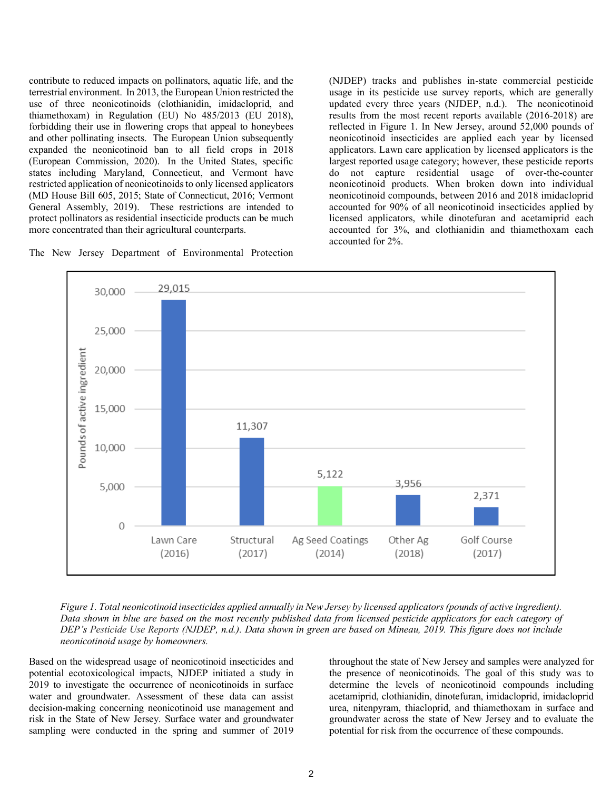contribute to reduced impacts on pollinators, aquatic life, and the terrestrial environment. In 2013, the European Union restricted the use of three neonicotinoids (clothianidin, imidacloprid, and thiamethoxam) in Regulation (EU) No 485/2013 (EU 2018), forbidding their use in flowering crops that appeal to honeybees and other pollinating insects. The European Union subsequently expanded the neonicotinoid ban to all field crops in 2018 (European Commission, 2020). In the United States, specific states including Maryland, Connecticut, and Vermont have restricted application of neonicotinoids to only licensed applicators (MD House Bill 605, 2015; State of Connecticut, 2016; Vermont General Assembly, 2019). These restrictions are intended to protect pollinators as residential insecticide products can be much more concentrated than their agricultural counterparts.



(NJDEP) tracks and publishes in-state commercial pesticide usage in its pesticide use survey reports, which are generally updated every three years (NJDEP, n.d.). The neonicotinoid results from the most recent reports available (2016-2018) are reflected in Figure 1. In New Jersey, around 52,000 pounds of neonicotinoid insecticides are applied each year by licensed applicators. Lawn care application by licensed applicators is the largest reported usage category; however, these pesticide reports do not capture residential usage of over-the-counter neonicotinoid products. When broken down into individual neonicotinoid compounds, between 2016 and 2018 imidacloprid accounted for 90% of all neonicotinoid insecticides applied by licensed applicators, while dinotefuran and acetamiprid each accounted for 3%, and clothianidin and thiamethoxam each accounted for 2%.



*Figure 1. Total neonicotinoid insecticides applied annually in New Jersey by licensed applicators (pounds of active ingredient). Data shown in blue are based on the most recently published data from licensed pesticide applicators for each category of DEP's Pesticide Use Reports (NJDEP, n.d.). Data shown in green are based on Mineau, 2019. This figure does not include neonicotinoid usage by homeowners.* 

Based on the widespread usage of neonicotinoid insecticides and potential ecotoxicological impacts, NJDEP initiated a study in 2019 to investigate the occurrence of neonicotinoids in surface water and groundwater. Assessment of these data can assist decision-making concerning neonicotinoid use management and risk in the State of New Jersey. Surface water and groundwater sampling were conducted in the spring and summer of 2019

throughout the state of New Jersey and samples were analyzed for the presence of neonicotinoids. The goal of this study was to determine the levels of neonicotinoid compounds including acetamiprid, clothianidin, dinotefuran, imidacloprid, imidacloprid urea, nitenpyram, thiacloprid, and thiamethoxam in surface and groundwater across the state of New Jersey and to evaluate the potential for risk from the occurrence of these compounds.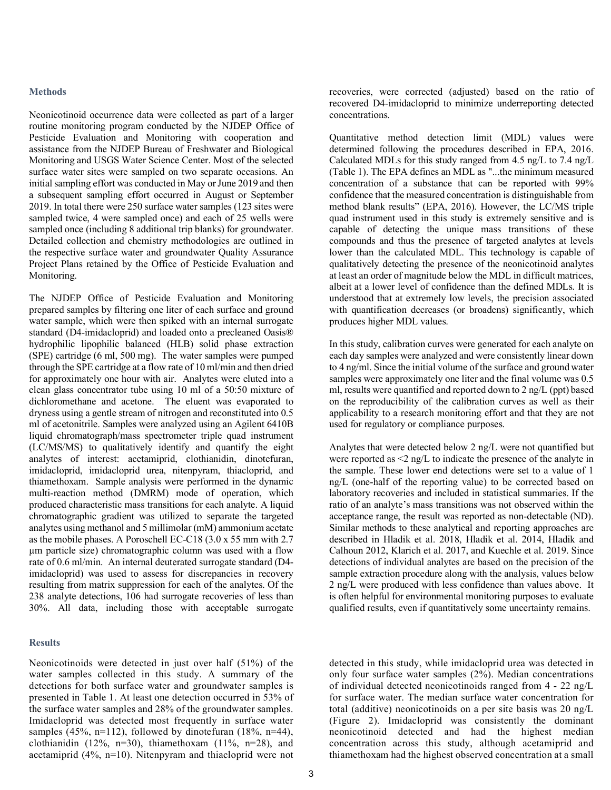#### **Methods**

Neonicotinoid occurrence data were collected as part of a larger routine monitoring program conducted by the NJDEP Office of Pesticide Evaluation and Monitoring with cooperation and assistance from the NJDEP Bureau of Freshwater and Biological Monitoring and USGS Water Science Center. Most of the selected surface water sites were sampled on two separate occasions. An initial sampling effort was conducted in May or June 2019 and then a subsequent sampling effort occurred in August or September 2019. In total there were 250 surface water samples (123 sites were sampled twice, 4 were sampled once) and each of 25 wells were sampled once (including 8 additional trip blanks) for groundwater. Detailed collection and chemistry methodologies are outlined in the respective surface water and groundwater Quality Assurance Project Plans retained by the Office of Pesticide Evaluation and Monitoring.

The NJDEP Office of Pesticide Evaluation and Monitoring prepared samples by filtering one liter of each surface and ground water sample, which were then spiked with an internal surrogate standard (D4-imidacloprid) and loaded onto a precleaned Oasis® hydrophilic lipophilic balanced (HLB) solid phase extraction (SPE) cartridge (6 ml, 500 mg). The water samples were pumped through the SPE cartridge at a flow rate of 10 ml/min and then dried for approximately one hour with air. Analytes were eluted into a clean glass concentrator tube using 10 ml of a 50:50 mixture of dichloromethane and acetone. The eluent was evaporated to dryness using a gentle stream of nitrogen and reconstituted into 0.5 ml of acetonitrile. Samples were analyzed using an Agilent 6410B liquid chromatograph/mass spectrometer triple quad instrument (LC/MS/MS) to qualitatively identify and quantify the eight analytes of interest: acetamiprid, clothianidin, dinotefuran, imidacloprid, imidacloprid urea, nitenpyram, thiacloprid, and thiamethoxam. Sample analysis were performed in the dynamic multi-reaction method (DMRM) mode of operation, which produced characteristic mass transitions for each analyte. A liquid chromatographic gradient was utilized to separate the targeted analytes using methanol and 5 millimolar (mM) ammonium acetate as the mobile phases. A Poroschell EC-C18 (3.0 x 55 mm with 2.7 µm particle size) chromatographic column was used with a flow rate of 0.6 ml/min. An internal deuterated surrogate standard (D4 imidacloprid) was used to assess for discrepancies in recovery resulting from matrix suppression for each of the analytes. Of the 238 analyte detections, 106 had surrogate recoveries of less than 30%. All data, including those with acceptable surrogate

#### **Results**

Neonicotinoids were detected in just over half (51%) of the water samples collected in this study. A summary of the detections for both surface water and groundwater samples is presented in Table 1. At least one detection occurred in 53% of the surface water samples and 28% of the groundwater samples. Imidacloprid was detected most frequently in surface water samples (45%, n=112), followed by dinotefuran (18%, n=44), clothianidin (12%, n=30), thiamethoxam (11%, n=28), and acetamiprid (4%, n=10). Nitenpyram and thiacloprid were not

recoveries, were corrected (adjusted) based on the ratio of recovered D4-imidacloprid to minimize underreporting detected concentrations.

Quantitative method detection limit (MDL) values were determined following the procedures described in EPA, 2016. Calculated MDLs for this study ranged from 4.5 ng/L to 7.4 ng/L (Table 1). The EPA defines an MDL as "...the minimum measured concentration of a substance that can be reported with 99% confidence that the measured concentration is distinguishable from method blank results" (EPA, 2016). However, the LC/MS triple quad instrument used in this study is extremely sensitive and is capable of detecting the unique mass transitions of these compounds and thus the presence of targeted analytes at levels lower than the calculated MDL. This technology is capable of qualitatively detecting the presence of the neonicotinoid analytes at least an order of magnitude below the MDL in difficult matrices, albeit at a lower level of confidence than the defined MDLs. It is understood that at extremely low levels, the precision associated with quantification decreases (or broadens) significantly, which produces higher MDL values.

In this study, calibration curves were generated for each analyte on each day samples were analyzed and were consistently linear down to 4 ng/ml. Since the initial volume of the surface and ground water samples were approximately one liter and the final volume was 0.5 ml, results were quantified and reported down to 2 ng/L (ppt) based on the reproducibility of the calibration curves as well as their applicability to a research monitoring effort and that they are not used for regulatory or compliance purposes.

Analytes that were detected below 2 ng/L were not quantified but were reported as  $\leq$ 2 ng/L to indicate the presence of the analyte in the sample. These lower end detections were set to a value of 1 ng/L (one-half of the reporting value) to be corrected based on laboratory recoveries and included in statistical summaries. If the ratio of an analyte's mass transitions was not observed within the acceptance range, the result was reported as non-detectable (ND). Similar methods to these analytical and reporting approaches are described in Hladik et al. 2018, Hladik et al. 2014, Hladik and Calhoun 2012, Klarich et al. 2017, and Kuechle et al. 2019. Since detections of individual analytes are based on the precision of the sample extraction procedure along with the analysis, values below 2 ng/L were produced with less confidence than values above. It is often helpful for environmental monitoring purposes to evaluate qualified results, even if quantitatively some uncertainty remains.

detected in this study, while imidacloprid urea was detected in only four surface water samples (2%). Median concentrations of individual detected neonicotinoids ranged from 4 - 22 ng/L for surface water. The median surface water concentration for total (additive) neonicotinoids on a per site basis was 20 ng/L (Figure 2). Imidacloprid was consistently the dominant neonicotinoid detected and had the highest median concentration across this study, although acetamiprid and thiamethoxam had the highest observed concentration at a small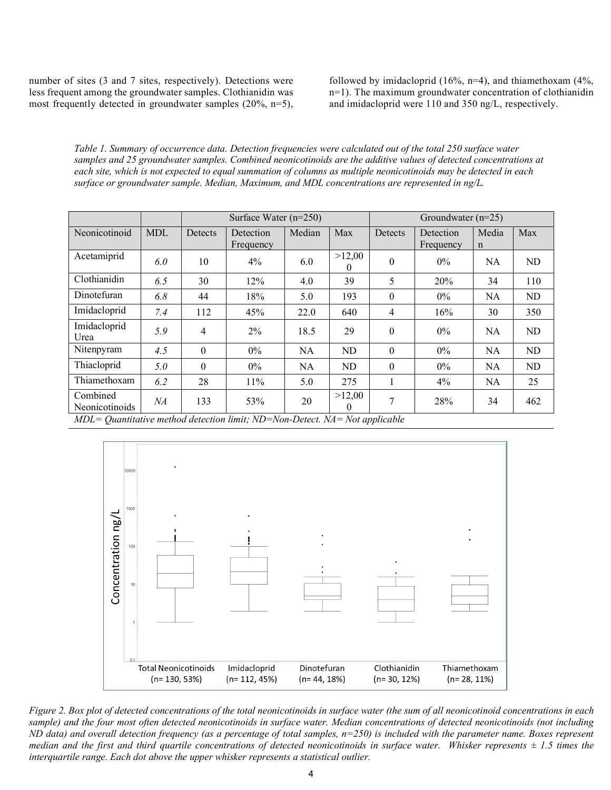number of sites (3 and 7 sites, respectively). Detections were less frequent among the groundwater samples. Clothianidin was most frequently detected in groundwater samples (20%, n=5),

followed by imidacloprid (16%,  $n=4$ ), and thiamethoxam (4%, n=1). The maximum groundwater concentration of clothianidin and imidacloprid were 110 and 350 ng/L, respectively.

*Table 1. Summary of occurrence data. Detection frequencies were calculated out of the total 250 surface water samples and 25 groundwater samples. Combined neonicotinoids are the additive values of detected concentrations at each site, which is not expected to equal summation of columns as multiple neonicotinoids may be detected in each surface or groundwater sample. Median, Maximum, and MDL concentrations are represented in ng/L.*

|                            |            |                | Surface Water $(n=250)$ |           |                    | Groundwater $(n=25)$ |                        |                      |     |  |  |
|----------------------------|------------|----------------|-------------------------|-----------|--------------------|----------------------|------------------------|----------------------|-----|--|--|
| Neonicotinoid              | <b>MDL</b> | Detects        | Detection<br>Frequency  | Median    | Max                | Detects              | Detection<br>Frequency | Media<br>$\mathbf n$ | Max |  |  |
| Acetamiprid                | 6.0        | 10             | $4\%$                   | 6.0       | >12,00<br>$\theta$ | $\theta$             | $0\%$                  | <b>NA</b>            | ND  |  |  |
| Clothianidin               | 6.5        | 30             | 12%                     | 4.0       | 39                 | 5                    | 20%                    | 34                   | 110 |  |  |
| Dinotefuran                | 6.8        | 44             | 18%                     | 5.0       | 193                | $\theta$             | $0\%$                  | <b>NA</b>            | ND  |  |  |
| Imidacloprid               | 7.4        | 112            | 45%                     | 22.0      | 640                | 4                    | 16%                    | 30                   | 350 |  |  |
| Imidacloprid<br>Urea       | 5.9        | $\overline{4}$ | $2\%$                   | 18.5      | 29                 | $\Omega$             | $0\%$                  | <b>NA</b>            | ND  |  |  |
| Nitenpyram                 | 4.5        | $\theta$       | $0\%$                   | <b>NA</b> | ND                 | $\theta$             | $0\%$                  | <b>NA</b>            | ND  |  |  |
| Thiacloprid                | 5.0        | $\theta$       | $0\%$                   | <b>NA</b> | <b>ND</b>          | $\theta$             | $0\%$                  | <b>NA</b>            | ND  |  |  |
| Thiamethoxam               | 6.2        | 28             | $11\%$                  | 5.0       | 275                | $\mathbf{1}$         | 4%                     | <b>NA</b>            | 25  |  |  |
| Combined<br>Neonicotinoids | NА         | 133            | 53%                     | 20        | >12,00<br>0        | 7                    | 28%                    | 34                   | 462 |  |  |

*MDL= Quantitative method detection limit; ND=Non-Detect. NA= Not applicable*



*Figure 2. Box plot of detected concentrations of the total neonicotinoids in surface water (the sum of all neonicotinoid concentrations in each sample) and the four most often detected neonicotinoids in surface water. Median concentrations of detected neonicotinoids (not including ND data) and overall detection frequency (as a percentage of total samples, n=250) is included with the parameter name. Boxes represent median and the first and third quartile concentrations of detected neonicotinoids in surface water. Whisker represents*  $\pm$  1.5 times the *interquartile range. Each dot above the upper whisker represents a statistical outlier.*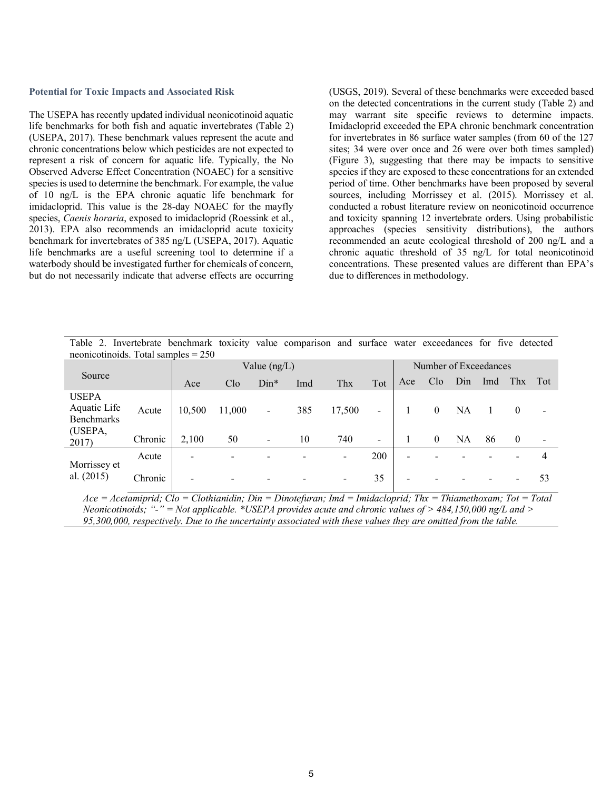#### **Potential for Toxic Impacts and Associated Risk**

The USEPA has recently updated individual neonicotinoid aquatic life benchmarks for both fish and aquatic invertebrates (Table 2) (USEPA, 2017). These benchmark values represent the acute and chronic concentrations below which pesticides are not expected to represent a risk of concern for aquatic life. Typically, the No Observed Adverse Effect Concentration (NOAEC) for a sensitive species is used to determine the benchmark. For example, the value of 10 ng/L is the EPA chronic aquatic life benchmark for imidacloprid. This value is the 28-day NOAEC for the mayfly species, *Caenis horaria*, exposed to imidacloprid (Roessink et al., 2013). EPA also recommends an imidacloprid acute toxicity benchmark for invertebrates of 385 ng/L (USEPA, 2017). Aquatic life benchmarks are a useful screening tool to determine if a waterbody should be investigated further for chemicals of concern, but do not necessarily indicate that adverse effects are occurring (USGS, 2019). Several of these benchmarks were exceeded based on the detected concentrations in the current study (Table 2) and may warrant site specific reviews to determine impacts. Imidacloprid exceeded the EPA chronic benchmark concentration for invertebrates in 86 surface water samples (from 60 of the 127 sites; 34 were over once and 26 were over both times sampled) (Figure 3), suggesting that there may be impacts to sensitive species if they are exposed to these concentrations for an extended period of time. Other benchmarks have been proposed by several sources, including Morrissey et al. (2015). Morrissey et al. conducted a robust literature review on neonicotinoid occurrence and toxicity spanning 12 invertebrate orders. Using probabilistic approaches (species sensitivity distributions), the authors recommended an acute ecological threshold of 200 ng/L and a chronic aquatic threshold of 35 ng/L for total neonicotinoid concentrations. These presented values are different than EPA's due to differences in methodology.

Table 2. Invertebrate benchmark toxicity value comparison and surface water exceedances for five detected neonicotinoids. Total samples = 250

|                                                                |         | Value $(ng/L)$           |                          |                          |     |                          |                          | Number of Exceedances    |              |           |     |          |     |
|----------------------------------------------------------------|---------|--------------------------|--------------------------|--------------------------|-----|--------------------------|--------------------------|--------------------------|--------------|-----------|-----|----------|-----|
| Source                                                         |         | Ace                      | C1 <sub>o</sub>          | $Dim*$                   | Imd | Thx                      | Tot                      | Ace                      | Clo          | Din       | Imd | Thx      | Tot |
| <b>USEPA</b><br>Aquatic Life<br>Benchmarks<br>(USEPA,<br>2017) | Acute   | 10,500                   | 11,000                   | $\blacksquare$           | 385 | 17,500                   | $\overline{\phantom{a}}$ |                          | $\mathbf{0}$ | NA        |     | $\theta$ |     |
|                                                                | Chronic | 2,100                    | 50                       | $\overline{\phantom{a}}$ | 10  | 740                      | $\overline{\phantom{a}}$ |                          | $\mathbf{0}$ | <b>NA</b> | 86  | $\theta$ |     |
| Morrissey et<br>al. $(2015)$                                   | Acute   | $\overline{\phantom{0}}$ | $\overline{\phantom{0}}$ |                          |     | $\overline{\phantom{a}}$ | 200                      | $\overline{\phantom{a}}$ |              |           |     |          | 4   |
|                                                                | Chronic | -                        | $\blacksquare$           |                          |     | $\overline{\phantom{a}}$ | 35                       | $\overline{\phantom{0}}$ |              |           |     |          | 53  |

*Ace = Acetamiprid; Clo = Clothianidin; Din = Dinotefuran; Imd = Imidacloprid; Thx = Thiamethoxam; Tot = Total Neonicotinoids; "-" = Not applicable. \*USEPA provides acute and chronic values of > 484,150,000 ng/L and > 95,300,000, respectively. Due to the uncertainty associated with these values they are omitted from the table.*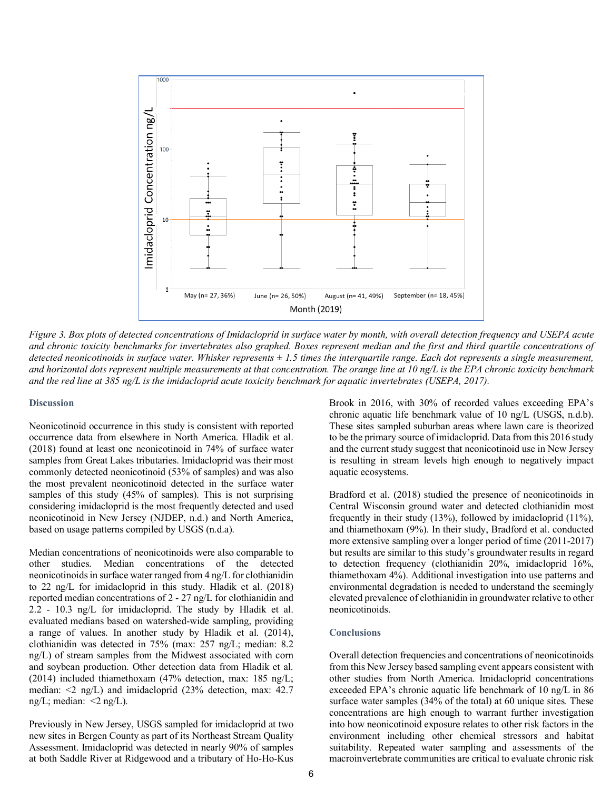

*Figure 3. Box plots of detected concentrations of Imidacloprid in surface water by month, with overall detection frequency and USEPA acute and chronic toxicity benchmarks for invertebrates also graphed. Boxes represent median and the first and third quartile concentrations of detected neonicotinoids in surface water. Whisker represents ± 1.5 times the interquartile range. Each dot represents a single measurement, and horizontal dots represent multiple measurements at that concentration. The orange line at 10 ng/L is the EPA chronic toxicity benchmark and the red line at 385 ng/L is the imidacloprid acute toxicity benchmark for aquatic invertebrates (USEPA, 2017).*

#### **Discussion**

Neonicotinoid occurrence in this study is consistent with reported occurrence data from elsewhere in North America. Hladik et al. (2018) found at least one neonicotinoid in 74% of surface water samples from Great Lakes tributaries. Imidacloprid was their most commonly detected neonicotinoid (53% of samples) and was also the most prevalent neonicotinoid detected in the surface water samples of this study (45% of samples). This is not surprising considering imidacloprid is the most frequently detected and used neonicotinoid in New Jersey (NJDEP, n.d.) and North America, based on usage patterns compiled by USGS (n.d.a).

Median concentrations of neonicotinoids were also comparable to other studies. Median concentrations of the detected neonicotinoids in surface water ranged from 4 ng/L for clothianidin to 22 ng/L for imidacloprid in this study. Hladik et al. (2018) reported median concentrations of 2 - 27 ng/L for clothianidin and 2.2 - 10.3 ng/L for imidacloprid. The study by Hladik et al. evaluated medians based on watershed-wide sampling, providing a range of values. In another study by Hladik et al. (2014), clothianidin was detected in 75% (max: 257 ng/L; median: 8.2 ng/L) of stream samples from the Midwest associated with corn and soybean production. Other detection data from Hladik et al. (2014) included thiamethoxam (47% detection, max: 185 ng/L; median: <2 ng/L) and imidacloprid (23% detection, max: 42.7 ng/L; median:  $\langle 2 \text{ ng/L}}$ .

Previously in New Jersey, USGS sampled for imidacloprid at two new sites in Bergen County as part of its Northeast Stream Quality Assessment. Imidacloprid was detected in nearly 90% of samples at both Saddle River at Ridgewood and a tributary of Ho-Ho-Kus

Brook in 2016, with 30% of recorded values exceeding EPA's chronic aquatic life benchmark value of 10 ng/L (USGS, n.d.b). These sites sampled suburban areas where lawn care is theorized to be the primary source of imidacloprid. Data from this 2016 study and the current study suggest that neonicotinoid use in New Jersey is resulting in stream levels high enough to negatively impact aquatic ecosystems.

Bradford et al. (2018) studied the presence of neonicotinoids in Central Wisconsin ground water and detected clothianidin most frequently in their study (13%), followed by imidacloprid (11%), and thiamethoxam (9%). In their study, Bradford et al. conducted more extensive sampling over a longer period of time (2011-2017) but results are similar to this study's groundwater results in regard to detection frequency (clothianidin 20%, imidacloprid 16%, thiamethoxam 4%). Additional investigation into use patterns and environmental degradation is needed to understand the seemingly elevated prevalence of clothianidin in groundwater relative to other neonicotinoids.

#### **Conclusions**

Overall detection frequencies and concentrations of neonicotinoids from this New Jersey based sampling event appears consistent with other studies from North America. Imidacloprid concentrations exceeded EPA's chronic aquatic life benchmark of 10 ng/L in 86 surface water samples (34% of the total) at 60 unique sites. These concentrations are high enough to warrant further investigation into how neonicotinoid exposure relates to other risk factors in the environment including other chemical stressors and habitat suitability. Repeated water sampling and assessments of the macroinvertebrate communities are critical to evaluate chronic risk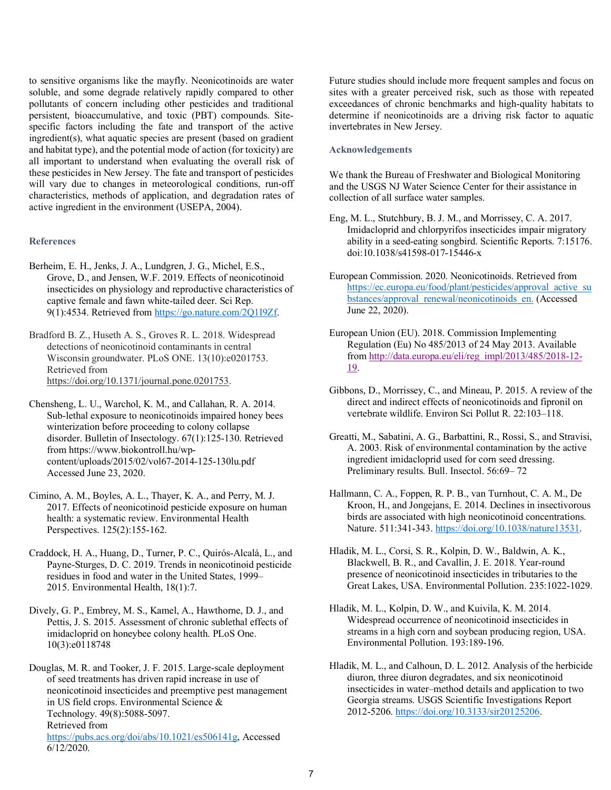to sensitive organisms like the mayfly. Neonicotinoids are water soluble, and some degrade relatively rapidly compared to other pollutants of concern including other pesticides and traditional persistent, bioaccumulative, and toxic (PBT) compounds. Sitespecific factors including the fate and transport of the active ingredient(s), what aquatic species are present (based on gradient and habitat type), and the potential mode of action (for toxicity) are all important to understand when evaluating the overall risk of these pesticides in New Jersey. The fate and transport of pesticides will vary due to changes in meteorological conditions, run-off characteristics, methods of application, and degradation rates of active ingredient in the environment (USEPA, 2004).

#### **References**

- Berheim, E. H., Jenks, J. A., Lundgren, J. G., Michel, E.S., Grove, D., and Jensen, W.F. 2019. Effects of neonicotinoid insecticides on physiology and reproductive characteristics of captive female and fawn white-tailed deer. Sci Rep. 9(1):4534. Retrieved fro[m https://go.nature.com/2Q1I9Zf.](https://go.nature.com/2Q1I9Zf)
- Bradford B. Z., Huseth A. S., Groves R. L. 2018. Widespread detections of neonicotinoid contaminants in central Wisconsin groundwater. PLoS ONE. 13(10):e0201753. Retrieved from [https://doi.org/10.1371/journal.pone.0201753.](https://doi.org/10.1371/journal.pone.0201753)
- Chensheng, L. U., Warchol, K. M., and Callahan, R. A. 2014. Sub-lethal exposure to neonicotinoids impaired honey bees winterization before proceeding to colony collapse disorder. Bulletin of Insectology. 67(1):125-130. Retrieved from https://www.biokontroll.hu/wpcontent/uploads/2015/02/vol67-2014-125-130lu.pdf Accessed June 23, 2020.
- Cimino, A. M., Boyles, A. L., Thayer, K. A., and Perry, M. J. 2017. Effects of neonicotinoid pesticide exposure on human health: a systematic review. Environmental Health Perspectives. 125(2):155-162.
- Craddock, H. A., Huang, D., Turner, P. C., Quirós-Alcalá, L., and Payne-Sturges, D. C. 2019. Trends in neonicotinoid pesticide residues in food and water in the United States, 1999– 2015. Environmental Health, 18(1):7.
- Dively, G. P., Embrey, M. S., Kamel, A., Hawthorne, D. J., and Pettis, J. S. 2015. Assessment of chronic sublethal effects of imidacloprid on honeybee colony health. PLoS One. 10(3):e0118748
- Douglas, M. R. and Tooker, J. F. 2015. Large-scale deployment of seed treatments has driven rapid increase in use of neonicotinoid insecticides and preemptive pest management in US field crops. Environmental Science & Technology. 49(8):5088-5097. Retrieved from [https://pubs.acs.org/doi/abs/10.1021/es506141g,](https://pubs.acs.org/doi/abs/10.1021/es506141g) Accessed 6/12/2020.

Future studies should include more frequent samples and focus on sites with a greater perceived risk, such as those with repeated exceedances of chronic benchmarks and high-quality habitats to determine if neonicotinoids are a driving risk factor to aquatic invertebrates in New Jersey.

#### **Acknowledgements**

We thank the Bureau of Freshwater and Biological Monitoring and the USGS NJ Water Science Center for their assistance in collection of all surface water samples.

- Eng, M. L., Stutchbury, B. J. M., and Morrissey, C. A. 2017. Imidacloprid and chlorpyrifos insecticides impair migratory ability in a seed-eating songbird. Scientific Reports. 7:15176. doi:10.1038/s41598-017-15446-x
- European Commission. 2020. Neonicotinoids. Retrieved from [https://ec.europa.eu/food/plant/pesticides/approval\\_active\\_su](https://ec.europa.eu/food/plant/pesticides/approval_active_substances/approval_renewal/neonicotinoids_en) [bstances/approval\\_renewal/neonicotinoids\\_en.](https://ec.europa.eu/food/plant/pesticides/approval_active_substances/approval_renewal/neonicotinoids_en) (Accessed June 22, 2020).
- European Union (EU). 2018. Commission Implementing Regulation (Eu) No 485/2013 of 24 May 2013. Available from [http://data.europa.eu/eli/reg\\_impl/2013/485/2018-12-](http://data.europa.eu/eli/reg_impl/2013/485/2018-12-19) [19.](http://data.europa.eu/eli/reg_impl/2013/485/2018-12-19)
- Gibbons, D., Morrissey, C., and Mineau, P. 2015. A review of the direct and indirect effects of neonicotinoids and fipronil on vertebrate wildlife. Environ Sci Pollut R. 22:103–118.
- Greatti, M., Sabatini, A. G., Barbattini, R., Rossi, S., and Stravisi, A. 2003. Risk of environmental contamination by the active ingredient imidacloprid used for corn seed dressing. Preliminary results. Bull. Insectol. 56:69– 72
- Hallmann, C. A., Foppen, R. P. B., van Turnhout, C. A. M., De Kroon, H., and Jongejans, E. 2014. Declines in insectivorous birds are associated with high neonicotinoid concentrations. Nature. 511:341-343[. https://doi.org/10.1038/nature13531.](https://doi.org/10.1038/nature13531)
- Hladik, M. L., Corsi, S. R., Kolpin, D. W., Baldwin, A. K., Blackwell, B. R., and Cavallin, J. E. 2018. Year-round presence of neonicotinoid insecticides in tributaries to the Great Lakes, USA. Environmental Pollution. 235:1022-1029.
- Hladik, M. L., Kolpin, D. W., and Kuivila, K. M. 2014. Widespread occurrence of neonicotinoid insecticides in streams in a high corn and soybean producing region, USA. Environmental Pollution. 193:189-196.
- Hladik, M. L., and Calhoun, D. L. 2012. Analysis of the herbicide diuron, three diuron degradates, and six neonicotinoid insecticides in water–method details and application to two Georgia streams. USGS Scientific Investigations Report 2012-5206. [https://doi.org/10.3133/sir20125206.](https://doi.org/10.3133/sir20125206)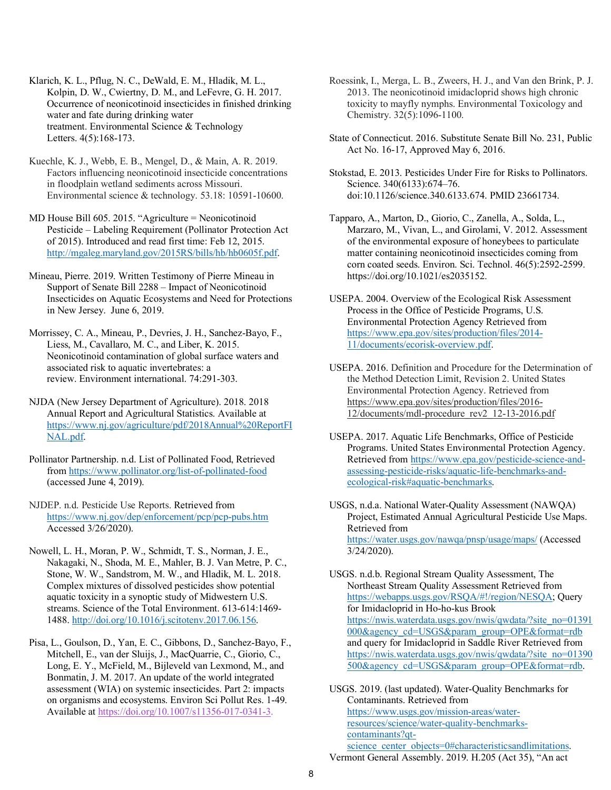Klarich, K. L., Pflug, N. C., DeWald, E. M., Hladik, M. L., Kolpin, D. W., Cwiertny, D. M., and LeFevre, G. H. 2017. Occurrence of neonicotinoid insecticides in finished drinking water and fate during drinking water treatment. Environmental Science & Technology Letters. 4(5):168-173.

Kuechle, K. J., Webb, E. B., Mengel, D., & Main, A. R. 2019. Factors influencing neonicotinoid insecticide concentrations in floodplain wetland sediments across Missouri. Environmental science & technology. 53.18: 10591-10600.

MD House Bill 605. 2015. "Agriculture = Neonicotinoid Pesticide – Labeling Requirement (Pollinator Protection Act of 2015). Introduced and read first time: Feb 12, 2015. http://mgaleg.maryland.gov/2015RS/bills/hb/hb0605f.pdf.

Mineau, Pierre. 2019. Written Testimony of Pierre Mineau in Support of Senate Bill 2288 – Impact of Neonicotinoid Insecticides on Aquatic Ecosystems and Need for Protections in New Jersey. June 6, 2019.

Morrissey, C. A., Mineau, P., Devries, J. H., Sanchez-Bayo, F., Liess, M., Cavallaro, M. C., and Liber, K. 2015. Neonicotinoid contamination of global surface waters and associated risk to aquatic invertebrates: a review. Environment international. 74:291-303.

NJDA (New Jersey Department of Agriculture). 2018. 2018 Annual Report and Agricultural Statistics. Available at [https://www.nj.gov/agriculture/pdf/2018Annual%20ReportFI](https://www.nj.gov/agriculture/pdf/2018Annual%20ReportFINAL.pdf) [NAL.pdf.](https://www.nj.gov/agriculture/pdf/2018Annual%20ReportFINAL.pdf)

Pollinator Partnership. n.d. List of Pollinated Food, Retrieved from<https://www.pollinator.org/list-of-pollinated-food> (accessed June 4, 2019).

NJDEP. n.d. Pesticide Use Reports. Retrieved from [https://www.nj.gov/dep/enforcement/pcp/pcp-pubs.htm](about:blank) Accessed 3/26/2020).

Nowell, L. H., Moran, P. W., Schmidt, T. S., Norman, J. E., Nakagaki, N., Shoda, M. E., Mahler, B. J. Van Metre, P. C., Stone, W. W., Sandstrom, M. W., and Hladik, M. L. 2018. Complex mixtures of dissolved pesticides show potential aquatic toxicity in a synoptic study of Midwestern U.S. streams. Science of the Total Environment. 613-614:1469- 1488. [http://doi.org/10.1016/j.scitotenv.2017.06.156.](http://doi.org/10.1016/j.scitotenv.2017.06.156) 

Pisa, L., Goulson, D., Yan, E. C., Gibbons, D., Sanchez-Bayo, F., Mitchell, E., van der Sluijs, J., MacQuarrie, C., Giorio, C., Long, E. Y., McField, M., Bijleveld van Lexmond, M., and Bonmatin, J. M. 2017. An update of the world integrated assessment (WIA) on systemic insecticides. Part 2: impacts on organisms and ecosystems. Environ Sci Pollut Res. 1-49. Available at [https://doi.org/10.1007/s11356-017-0341-3.](https://doi.org/10.1007/s11356-017-0341-3)

Roessink, I., Merga, L. B., Zweers, H. J., and Van den Brink, P. J. 2013. The neonicotinoid imidacloprid shows high chronic toxicity to mayfly nymphs. Environmental Toxicology and Chemistry. 32(5):1096-1100.

State of Connecticut. 2016. Substitute Senate Bill No. 231, Public Act No. 16-17, Approved May 6, 2016.

Stokstad, E. 2013. Pesticides Under Fire for Risks to Pollinators. Science. 340(6133):674–76. doi:10.1126/science.340.6133.674. PMID 23661734.

Tapparo, A., Marton, D., Giorio, C., Zanella, A., Solda, L., Marzaro, M., Vivan, L., and Girolami, V. 2012. Assessment of the environmental exposure of honeybees to particulate matter containing neonicotinoid insecticides coming from corn coated seeds. Environ. Sci. Technol. 46(5):2592-2599. https://doi.org/10.1021/es2035152.

USEPA. 2004. Overview of the Ecological Risk Assessment Process in the Office of Pesticide Programs, U.S. Environmental Protection Agency Retrieved from https://www.epa.gov/sites/production/files/2014- 11/documents/ecorisk-overview.pdf.

USEPA. 2016. Definition and Procedure for the Determination of the Method Detection Limit, Revision 2. United States Environmental Protection Agency. Retrieved from [https://www.epa.gov/sites/production/files/2016-](https://www.epa.gov/sites/production/files/2016-12/documents/mdl-procedure_rev2_12-13-2016.pdf) [12/documents/mdl-procedure\\_rev2\\_12-13-2016.pdf](https://www.epa.gov/sites/production/files/2016-12/documents/mdl-procedure_rev2_12-13-2016.pdf)

USEPA. 2017. Aquatic Life Benchmarks, Office of Pesticide Programs. United States Environmental Protection Agency. Retrieved from [https://www.epa.gov/pesticide-science-and](https://www.epa.gov/pesticide-science-and-assessing-pesticide-risks/aquatic-life-benchmarks-and-ecological-risk#aquatic-benchmarks)[assessing-pesticide-risks/aquatic-life-benchmarks-and](https://www.epa.gov/pesticide-science-and-assessing-pesticide-risks/aquatic-life-benchmarks-and-ecological-risk#aquatic-benchmarks)[ecological-risk#aquatic-benchmarks.](https://www.epa.gov/pesticide-science-and-assessing-pesticide-risks/aquatic-life-benchmarks-and-ecological-risk#aquatic-benchmarks)

USGS, n.d.a. National Water-Quality Assessment (NAWQA) Project, Estimated Annual Agricultural Pesticide Use Maps. Retrieved from https://water.usgs.gov/nawqa/pnsp/usage/maps/ (Accessed 3/24/2020).

USGS. n.d.b. Regional Stream Quality Assessment, The Northeast Stream Quality Assessment Retrieved from https://webapps.usgs.gov/RSQA/#!/region/NESQA; Query for Imidacloprid in Ho-ho-kus Brook https://nwis.waterdata.usgs.gov/nwis/qwdata/?site\_no=01391 000&agency\_cd=USGS&param\_group=OPE&format=rdb and query for Imidacloprid in Saddle River Retrieved from https://nwis.waterdata.usgs.gov/nwis/qwdata/?site\_no=01390 500&agency cd=USGS&param group=OPE&format=rdb.

USGS. 2019. (last updated). Water-Quality Benchmarks for Contaminants. Retrieved from https://www.usgs.gov/mission-areas/waterresources/science/water-quality-benchmarkscontaminants?qtscience center objects=0#characteristicsandlimitations. Vermont General Assembly. 2019. H.205 (Act 35), "An act